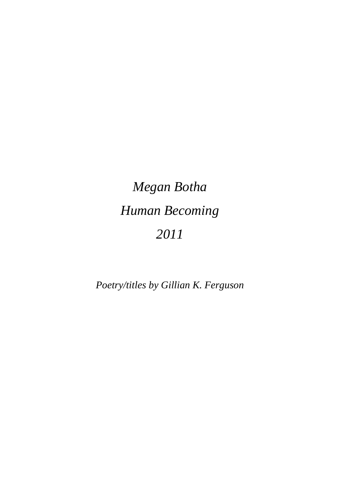## *Megan Botha Human Becoming 2011*

*Poetry/titles by Gillian K. Ferguson*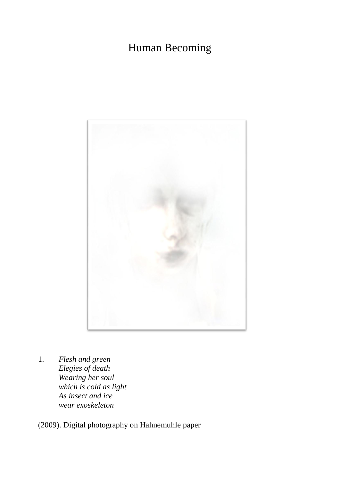## Human Becoming



1. *Flesh and green Elegies of death Wearing her soul which is cold as light As insect and ice wear exoskeleton*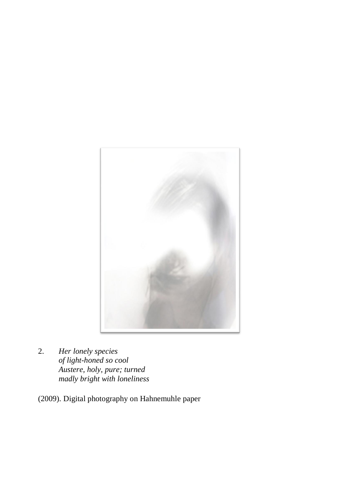

2. *Her lonely species of light-honed so cool Austere, holy, pure; turned madly bright with loneliness*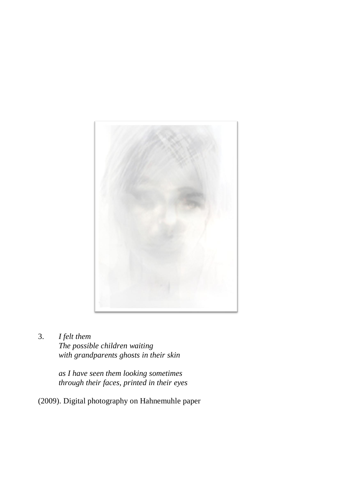

3. *I felt them The possible children waiting with grandparents ghosts in their skin*

> *as I have seen them looking sometimes through their faces, printed in their eyes*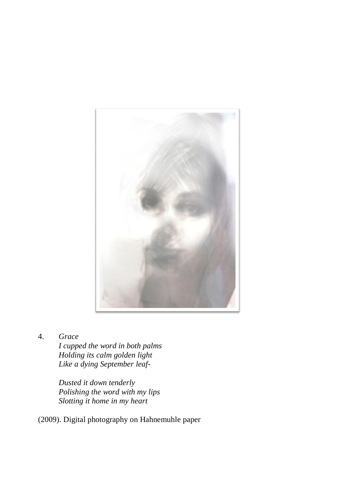

4. *Grace*

*I cupped the word in both palms Holding its calm golden light Like a dying September leaf-*

*Dusted it down tenderly Polishing the word with my lips Slotting it home in my heart*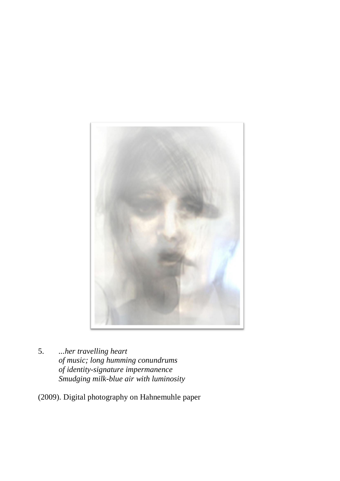

5. *...her travelling heart of music; long humming conundrums of identity-signature impermanence Smudging milk-blue air with luminosity*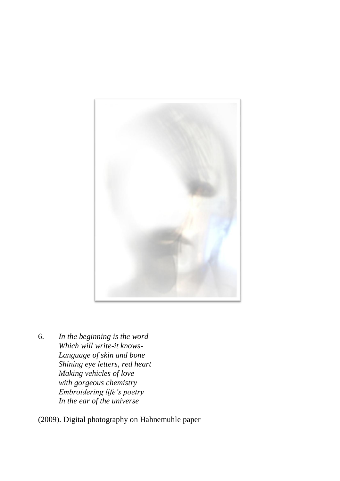

6. *In the beginning is the word Which will write-it knows-Language of skin and bone Shining eye letters, red heart Making vehicles of love with gorgeous chemistry Embroidering life's poetry In the ear of the universe*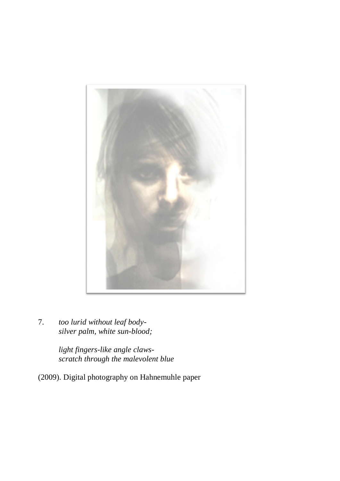

7. *too lurid without leaf bodysilver palm, white sun-blood;*

> *light fingers-like angle clawsscratch through the malevolent blue*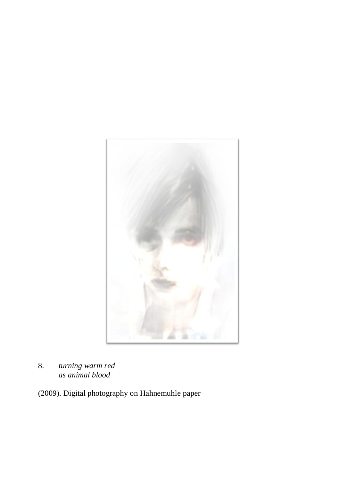

8. *turning warm red as animal blood*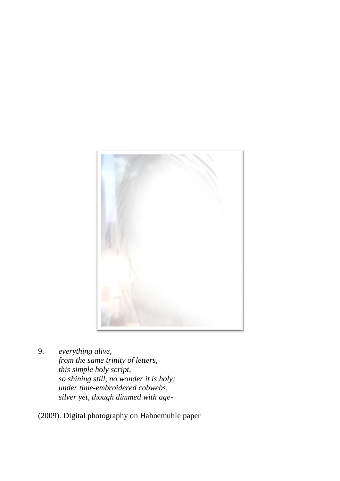

9. *everything alive, from the same trinity of letters, this simple holy script, so shining still, no wonder it is holy; under time-embroidered cobwebs, silver yet, though dimmed with age-*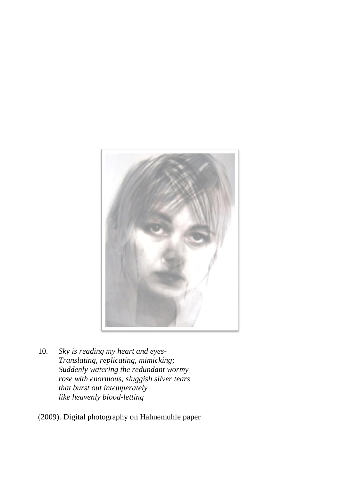

10. *Sky is reading my heart and eyes-Translating, replicating, mimicking; Suddenly watering the redundant wormy rose with enormous, sluggish silver tears that burst out intemperately like heavenly blood-letting*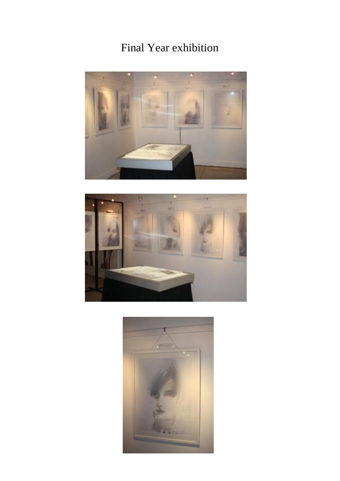## Final Year exhibition